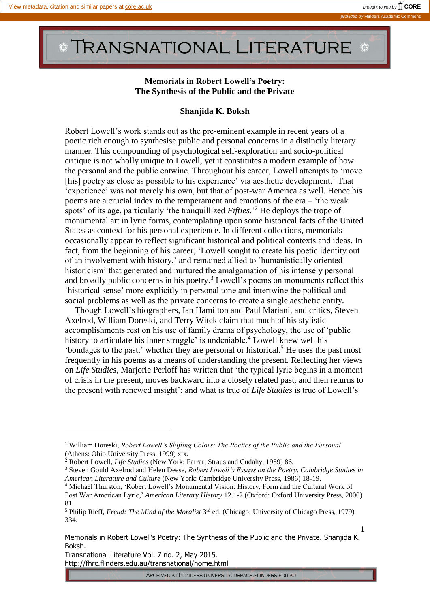$\overline{a}$ 

## **TRANSNATIONAL LITERATURE**

## **Memorials in Robert Lowell's Poetry: The Synthesis of the Public and the Private**

## **Shanjida K. Boksh**

Robert Lowell's work stands out as the pre-eminent example in recent years of a poetic rich enough to synthesise public and personal concerns in a distinctly literary manner. This compounding of psychological self-exploration and socio-political critique is not wholly unique to Lowell, yet it constitutes a modern example of how the personal and the public entwine. Throughout his career, Lowell attempts to 'move [his] poetry as close as possible to his experience' via aesthetic development.<sup>1</sup> That 'experience' was not merely his own, but that of post-war America as well. Hence his poems are a crucial index to the temperament and emotions of the era – 'the weak spots' of its age, particularly 'the tranquillized *Fifties.*' <sup>2</sup> He deploys the trope of monumental art in lyric forms, contemplating upon some historical facts of the United States as context for his personal experience. In different collections, memorials occasionally appear to reflect significant historical and political contexts and ideas. In fact, from the beginning of his career, 'Lowell sought to create his poetic identity out of an involvement with history,' and remained allied to 'humanistically oriented historicism' that generated and nurtured the amalgamation of his intensely personal and broadly public concerns in his poetry.<sup>3</sup> Lowell's poems on monuments reflect this 'historical sense' more explicitly in personal tone and intertwine the political and social problems as well as the private concerns to create a single aesthetic entity.

Though Lowell's biographers, Ian Hamilton and Paul Mariani, and critics, Steven Axelrod, William Doreski, and Terry Witek claim that much of his stylistic accomplishments rest on his use of family drama of psychology, the use of 'public history to articulate his inner struggle' is undeniable.<sup>4</sup> Lowell knew well his 'bondages to the past,' whether they are personal or historical.<sup>5</sup> He uses the past most frequently in his poems as a means of understanding the present. Reflecting her views on *Life Studies*, Marjorie Perloff has written that 'the typical lyric begins in a moment of crisis in the present, moves backward into a closely related past, and then returns to the present with renewed insight'; and what is true of *Life Studies* is true of Lowell's

Transnational Literature Vol. 7 no. 2, May 2015. http://fhrc.flinders.edu.au/transnational/home.html

ARCHIVED AT FLINDERS UNIVERSITY: DSPACE.FLINDERS.EDU.AU

<sup>1</sup> William Doreski, *Robert Lowell's Shifting Colors: The Poetics of the Public and the Personal* (Athens: Ohio University Press, 1999) xix.

<sup>2</sup> Robert Lowell, *Life Studies* (New York: Farrar, Straus and Cudahy, 1959) 86.

<sup>3</sup> Steven Gould Axelrod and Helen Deese, *Robert Lowell's Essays on the Poetry. Cambridge Studies in American Literature and Culture* (New York: Cambridge University Press, 1986) 18-19.

<sup>4</sup> Michael Thurston, 'Robert Lowell's Monumental Vision: History, Form and the Cultural Work of Post War American Lyric,' *American Literary History* 12.1-2 (Oxford: Oxford University Press, 2000) 81.

<sup>&</sup>lt;sup>5</sup> Philip Rieff, *Freud: The Mind of the Moralist* 3<sup>rd</sup> ed. (Chicago: University of Chicago Press, 1979) 334.

Memorials in Robert Lowell's Poetry: The Synthesis of the Public and the Private. Shanjida K. Boksh.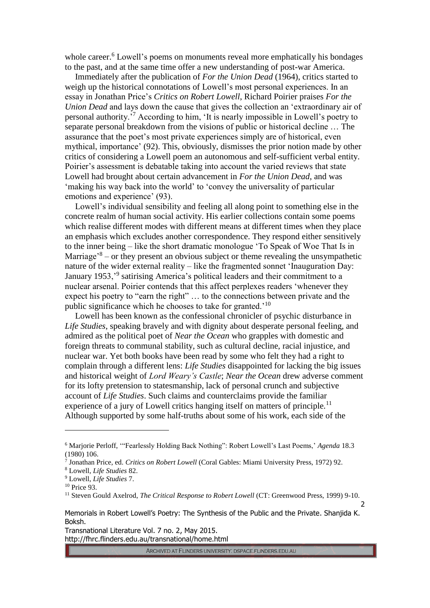whole career.<sup>6</sup> Lowell's poems on monuments reveal more emphatically his bondages to the past, and at the same time offer a new understanding of post-war America.

Immediately after the publication of *For the Union Dead* (1964), critics started to weigh up the historical connotations of Lowell's most personal experiences. In an essay in Jonathan Price's *Critics on Robert Lowell*, Richard Poirier praises *For the Union Dead* and lays down the cause that gives the collection an 'extraordinary air of personal authority.'<sup>7</sup> According to him, 'It is nearly impossible in Lowell's poetry to separate personal breakdown from the visions of public or historical decline … The assurance that the poet's most private experiences simply are of historical, even mythical, importance' (92). This, obviously, dismisses the prior notion made by other critics of considering a Lowell poem an autonomous and self-sufficient verbal entity. Poirier's assessment is debatable taking into account the varied reviews that state Lowell had brought about certain advancement in *For the Union Dead*, and was 'making his way back into the world' to 'convey the universality of particular emotions and experience' (93).

Lowell's individual sensibility and feeling all along point to something else in the concrete realm of human social activity. His earlier collections contain some poems which realise different modes with different means at different times when they place an emphasis which excludes another correspondence. They respond either sensitively to the inner being – like the short dramatic monologue 'To Speak of Woe That Is in Marriage<sup>3</sup> – or they present an obvious subject or theme revealing the unsympathetic nature of the wider external reality – like the fragmented sonnet 'Inauguration Day: January 1953,<sup>'9</sup> satirising America's political leaders and their commitment to a nuclear arsenal. Poirier contends that this affect perplexes readers 'whenever they expect his poetry to "earn the right" … to the connections between private and the public significance which he chooses to take for granted.'<sup>10</sup>

Lowell has been known as the confessional chronicler of psychic disturbance in *Life Studies*, speaking bravely and with dignity about desperate personal feeling, and admired as the political poet of *Near the Ocean* who grapples with domestic and foreign threats to communal stability, such as cultural decline, racial injustice, and nuclear war. Yet both books have been read by some who felt they had a right to complain through a different lens: *Life Studies* disappointed for lacking the big issues and historical weight of *Lord Weary's Castle*; *Near the Ocean* drew adverse comment for its lofty pretension to statesmanship, lack of personal crunch and subjective account of *Life Studies*. Such claims and counterclaims provide the familiar experience of a jury of Lowell critics hanging itself on matters of principle.<sup>11</sup> Although supported by some half-truths about some of his work, each side of the

 $\overline{a}$ 

Transnational Literature Vol. 7 no. 2, May 2015. http://fhrc.flinders.edu.au/transnational/home.html

ARCHIVED AT FLINDERS UNIVERSITY: DSPACE.FLINDERS.EDU.AU

<sup>6</sup> Marjorie Perloff, '"Fearlessly Holding Back Nothing": Robert Lowell's Last Poems,' *Agenda* 18.3 (1980) 106.

<sup>7</sup> Jonathan Price, ed. *Critics on Robert Lowell* (Coral Gables: Miami University Press, 1972) 92.

<sup>8</sup> Lowell*, Life Studies* 82.

<sup>9</sup> Lowell, *Life Studies* 7.

<sup>10</sup> Price 93.

<sup>&</sup>lt;sup>11</sup> Steven Gould Axelrod, *The Critical Response to Robert Lowell* (CT: Greenwood Press, 1999) 9-10.

Memorials in Robert Lowell's Poetry: The Synthesis of the Public and the Private. Shanjida K. Boksh.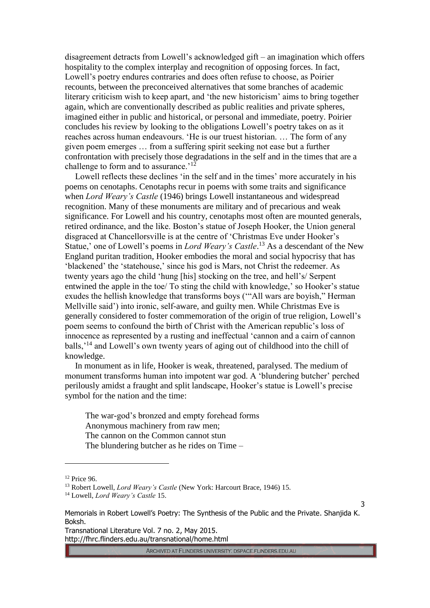disagreement detracts from Lowell's acknowledged gift – an imagination which offers hospitality to the complex interplay and recognition of opposing forces. In fact, Lowell's poetry endures contraries and does often refuse to choose, as Poirier recounts, between the preconceived alternatives that some branches of academic literary criticism wish to keep apart, and 'the new historicism' aims to bring together again, which are conventionally described as public realities and private spheres, imagined either in public and historical, or personal and immediate, poetry. Poirier concludes his review by looking to the obligations Lowell's poetry takes on as it reaches across human endeavours. 'He is our truest historian. … The form of any given poem emerges … from a suffering spirit seeking not ease but a further confrontation with precisely those degradations in the self and in the times that are a challenge to form and to assurance.<sup>'12</sup>

Lowell reflects these declines 'in the self and in the times' more accurately in his poems on cenotaphs. Cenotaphs recur in poems with some traits and significance when *Lord Weary's Castle* (1946) brings Lowell instantaneous and widespread recognition. Many of these monuments are military and of precarious and weak significance. For Lowell and his country, cenotaphs most often are mounted generals, retired ordinance, and the like. Boston's statue of Joseph Hooker, the Union general disgraced at Chancellorsville is at the centre of 'Christmas Eve under Hooker's Statue,' one of Lowell's poems in *Lord Weary's Castle*. <sup>13</sup> As a descendant of the New England puritan tradition, Hooker embodies the moral and social hypocrisy that has 'blackened' the 'statehouse,' since his god is Mars, not Christ the redeemer. As twenty years ago the child 'hung [his] stocking on the tree, and hell's/ Serpent entwined the apple in the toe/ To sting the child with knowledge,' so Hooker's statue exudes the hellish knowledge that transforms boys ('"All wars are boyish," Herman Mellville said') into ironic, self-aware, and guilty men. While Christmas Eve is generally considered to foster commemoration of the origin of true religion, Lowell's poem seems to confound the birth of Christ with the American republic's loss of innocence as represented by a rusting and ineffectual 'cannon and a cairn of cannon balls,'<sup>14</sup> and Lowell's own twenty years of aging out of childhood into the chill of knowledge.

In monument as in life, Hooker is weak, threatened, paralysed. The medium of monument transforms human into impotent war god. A 'blundering butcher' perched perilously amidst a fraught and split landscape, Hooker's statue is Lowell's precise symbol for the nation and the time:

The war-god's bronzed and empty forehead forms Anonymous machinery from raw men; The cannon on the Common cannot stun The blundering butcher as he rides on Time –

 $\overline{a}$ 

Transnational Literature Vol. 7 no. 2, May 2015. http://fhrc.flinders.edu.au/transnational/home.html

ARCHIVED AT FLINDERS UNIVERSITY: DSPACE.FLINDERS.EDU.AU

<sup>12</sup> Price 96.

<sup>13</sup> Robert Lowell, *Lord Weary's Castle* (New York: Harcourt Brace, 1946) 15.

<sup>14</sup> Lowell, *Lord Weary's Castle* 15.

Memorials in Robert Lowell's Poetry: The Synthesis of the Public and the Private. Shanjida K. Boksh.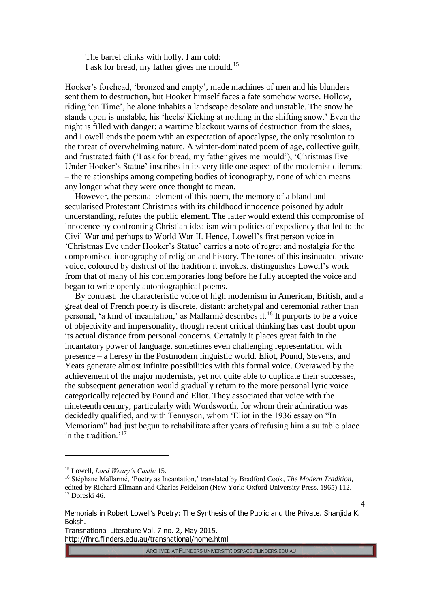The barrel clinks with holly. I am cold: I ask for bread, my father gives me mould.<sup>15</sup>

Hooker's forehead, 'bronzed and empty', made machines of men and his blunders sent them to destruction, but Hooker himself faces a fate somehow worse. Hollow, riding 'on Time', he alone inhabits a landscape desolate and unstable. The snow he stands upon is unstable, his 'heels/ Kicking at nothing in the shifting snow.' Even the night is filled with danger: a wartime blackout warns of destruction from the skies, and Lowell ends the poem with an expectation of apocalypse, the only resolution to the threat of overwhelming nature. A winter-dominated poem of age, collective guilt, and frustrated faith ('I ask for bread, my father gives me mould'), 'Christmas Eve Under Hooker's Statue' inscribes in its very title one aspect of the modernist dilemma – the relationships among competing bodies of iconography, none of which means any longer what they were once thought to mean.

However, the personal element of this poem, the memory of a bland and secularised Protestant Christmas with its childhood innocence poisoned by adult understanding, refutes the public element. The latter would extend this compromise of innocence by confronting Christian idealism with politics of expediency that led to the Civil War and perhaps to World War II. Hence, Lowell's first person voice in 'Christmas Eve under Hooker's Statue' carries a note of regret and nostalgia for the compromised iconography of religion and history. The tones of this insinuated private voice, coloured by distrust of the tradition it invokes, distinguishes Lowell's work from that of many of his contemporaries long before he fully accepted the voice and began to write openly autobiographical poems.

By contrast, the characteristic voice of high modernism in American, British, and a great deal of French poetry is discrete, distant: archetypal and ceremonial rather than personal, 'a kind of incantation,' as Mallarmé describes it.<sup>16</sup> It purports to be a voice of objectivity and impersonality, though recent critical thinking has cast doubt upon its actual distance from personal concerns. Certainly it places great faith in the incantatory power of language, sometimes even challenging representation with presence – a heresy in the Postmodern linguistic world. Eliot, Pound, Stevens, and Yeats generate almost infinite possibilities with this formal voice. Overawed by the achievement of the major modernists, yet not quite able to duplicate their successes, the subsequent generation would gradually return to the more personal lyric voice categorically rejected by Pound and Eliot. They associated that voice with the nineteenth century, particularly with Wordsworth, for whom their admiration was decidedly qualified, and with Tennyson, whom 'Eliot in the 1936 essay on "In Memoriam" had just begun to rehabilitate after years of refusing him a suitable place in the tradition.<sup>'17</sup>

 $\overline{a}$ 

Transnational Literature Vol. 7 no. 2, May 2015. http://fhrc.flinders.edu.au/transnational/home.html

ARCHIVED AT FLINDERS UNIVERSITY: DSPACE.FLINDERS.EDU.AU

<sup>15</sup> Lowell, *Lord Weary's Castle* 15.

<sup>16</sup> Stéphane Mallarmé, 'Poetry as Incantation,' translated by Bradford Cook, *The Modern Tradition*, edited by Richard Ellmann and Charles Feidelson (New York: Oxford University Press, 1965) 112. <sup>17</sup> Doreski 46.

Memorials in Robert Lowell's Poetry: The Synthesis of the Public and the Private. Shanjida K. Boksh.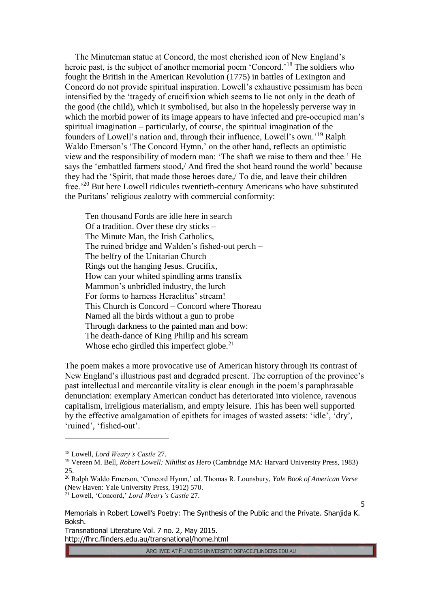The Minuteman statue at Concord, the most cherished icon of New England's heroic past, is the subject of another memorial poem 'Concord.<sup>18</sup> The soldiers who fought the British in the American Revolution (1775) in battles of Lexington and Concord do not provide spiritual inspiration. Lowell's exhaustive pessimism has been intensified by the 'tragedy of crucifixion which seems to lie not only in the death of the good (the child), which it symbolised, but also in the hopelessly perverse way in which the morbid power of its image appears to have infected and pre-occupied man's spiritual imagination – particularly, of course, the spiritual imagination of the founders of Lowell's nation and, through their influence, Lowell's own.'<sup>19</sup> Ralph Waldo Emerson's 'The Concord Hymn,' on the other hand, reflects an optimistic view and the responsibility of modern man: 'The shaft we raise to them and thee.' He says the 'embattled farmers stood,/ And fired the shot heard round the world' because they had the 'Spirit, that made those heroes dare,/ To die, and leave their children free.'<sup>20</sup> But here Lowell ridicules twentieth-century Americans who have substituted the Puritans' religious zealotry with commercial conformity:

Ten thousand Fords are idle here in search Of a tradition. Over these dry sticks – The Minute Man, the Irish Catholics, The ruined bridge and Walden's fished-out perch – The belfry of the Unitarian Church Rings out the hanging Jesus. Crucifix, How can your whited spindling arms transfix Mammon's unbridled industry, the lurch For forms to harness Heraclitus' stream! This Church is Concord – Concord where Thoreau Named all the birds without a gun to probe Through darkness to the painted man and bow: The death-dance of King Philip and his scream Whose echo girdled this imperfect globe. $21$ 

The poem makes a more provocative use of American history through its contrast of New England's illustrious past and degraded present. The corruption of the province's past intellectual and mercantile vitality is clear enough in the poem's paraphrasable denunciation: exemplary American conduct has deteriorated into violence, ravenous capitalism, irreligious materialism, and empty leisure. This has been well supported by the effective amalgamation of epithets for images of wasted assets: 'idle', 'dry', 'ruined', 'fished-out'.

 $\overline{a}$ 

ARCHIVED AT FLINDERS UNIVERSITY: DSPACE.FLINDERS.EDU.AU

<sup>18</sup> Lowell, *Lord Weary's Castle* 27.

<sup>19</sup> Vereen M. Bell, *Robert Lowell: Nihilist as Hero* (Cambridge MA: Harvard University Press, 1983) 25.

<sup>20</sup> Ralph Waldo Emerson, 'Concord Hymn,' ed. Thomas R. Lounsbury, *Yale Book of American Verse* (New Haven: Yale University Press, 1912) 570.

<sup>21</sup> Lowell, 'Concord,' *Lord Weary's Castle* 27.

Memorials in Robert Lowell's Poetry: The Synthesis of the Public and the Private. Shanjida K. Boksh.

Transnational Literature Vol. 7 no. 2, May 2015. http://fhrc.flinders.edu.au/transnational/home.html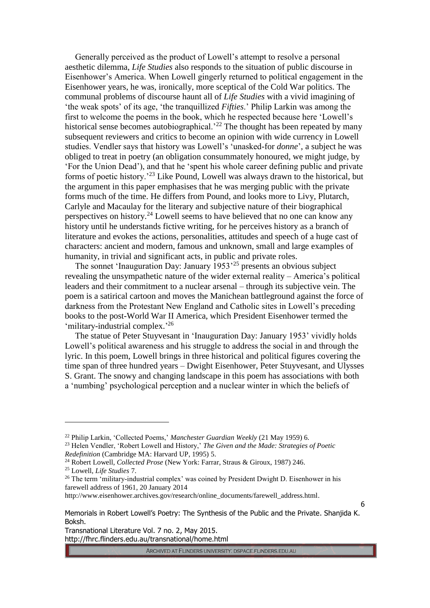Generally perceived as the product of Lowell's attempt to resolve a personal aesthetic dilemma, *Life Studies* also responds to the situation of public discourse in Eisenhower's America. When Lowell gingerly returned to political engagement in the Eisenhower years, he was, ironically, more sceptical of the Cold War politics. The communal problems of discourse haunt all of *Life Studies* with a vivid imagining of 'the weak spots' of its age, 'the tranquillized *Fifties*.' Philip Larkin was among the first to welcome the poems in the book, which he respected because here 'Lowell's historical sense becomes autobiographical.<sup>22</sup> The thought has been repeated by many subsequent reviewers and critics to become an opinion with wide currency in Lowell studies. Vendler says that history was Lowell's 'unasked-for *donne*', a subject he was obliged to treat in poetry (an obligation consummately honoured, we might judge, by 'For the Union Dead'), and that he 'spent his whole career defining public and private forms of poetic history.'<sup>23</sup> Like Pound, Lowell was always drawn to the historical, but the argument in this paper emphasises that he was merging public with the private forms much of the time. He differs from Pound, and looks more to Livy, Plutarch, Carlyle and Macaulay for the literary and subjective nature of their biographical perspectives on history.<sup>24</sup> Lowell seems to have believed that no one can know any history until he understands fictive writing, for he perceives history as a branch of literature and evokes the actions, personalities, attitudes and speech of a huge cast of characters: ancient and modern, famous and unknown, small and large examples of humanity, in trivial and significant acts, in public and private roles.

The sonnet 'Inauguration Day: January 1953'<sup>25</sup> presents an obvious subject revealing the unsympathetic nature of the wider external reality – America's political leaders and their commitment to a nuclear arsenal – through its subjective vein. The poem is a satirical cartoon and moves the Manichean battleground against the force of darkness from the Protestant New England and Catholic sites in Lowell's preceding books to the post-World War II America, which President Eisenhower termed the 'military-industrial complex.'<sup>26</sup>

The statue of Peter Stuyvesant in 'Inauguration Day: January 1953' vividly holds Lowell's political awareness and his struggle to address the social in and through the lyric. In this poem, Lowell brings in three historical and political figures covering the time span of three hundred years – Dwight Eisenhower, Peter Stuyvesant, and Ulysses S. Grant. The snowy and changing landscape in this poem has associations with both a 'numbing' psychological perception and a nuclear winter in which the beliefs of

 $\overline{a}$ 

http://www.eisenhower.archives.gov/research/online\_documents/farewell\_address.html.

ARCHIVED AT FLINDERS UNIVERSITY: DSPACE.FLINDERS.EDU.AU

<sup>22</sup> Philip Larkin, 'Collected Poems,' *Manchester Guardian Weekly* (21 May 1959) 6.

<sup>23</sup> Helen Vendler, 'Robert Lowell and History,' *The Given and the Made: Strategies of Poetic Redefinition* (Cambridge MA: Harvard UP, 1995) 5.

<sup>24</sup> Robert Lowell, *Collected Prose* (New York: Farrar, Straus & Giroux, 1987) 246.

<sup>25</sup> Lowell, *Life Studies* 7.

<sup>&</sup>lt;sup>26</sup> The term 'military-industrial complex' was coined by President Dwight D. Eisenhower in his farewell address of 1961, 20 January 2014

Memorials in Robert Lowell's Poetry: The Synthesis of the Public and the Private. Shanjida K. Boksh.

Transnational Literature Vol. 7 no. 2, May 2015. http://fhrc.flinders.edu.au/transnational/home.html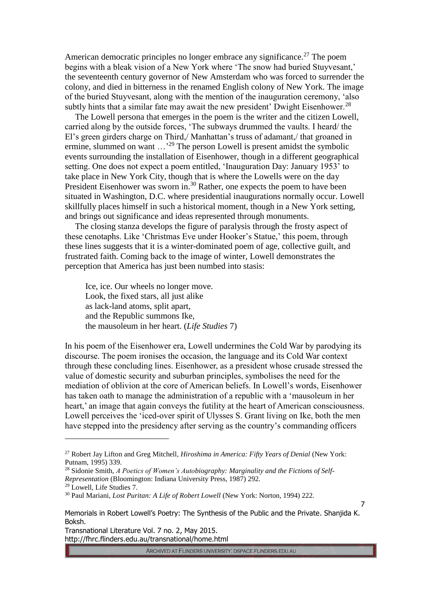American democratic principles no longer embrace any significance.<sup>27</sup> The poem begins with a bleak vision of a New York where 'The snow had buried Stuyvesant,' the seventeenth century governor of New Amsterdam who was forced to surrender the colony, and died in bitterness in the renamed English colony of New York. The image of the buried Stuyvesant, along with the mention of the inauguration ceremony, 'also subtly hints that a similar fate may await the new president' Dwight Eisenhower.<sup>28</sup>

The Lowell persona that emerges in the poem is the writer and the citizen Lowell, carried along by the outside forces, 'The subways drummed the vaults. I heard/ the El's green girders charge on Third,/ Manhattan's truss of adamant,/ that groaned in ermine, slummed on want  $\ldots$ <sup>29</sup> The person Lowell is present amidst the symbolic events surrounding the installation of Eisenhower, though in a different geographical setting. One does not expect a poem entitled, 'Inauguration Day: January 1953' to take place in New York City, though that is where the Lowells were on the day President Eisenhower was sworn in.<sup>30</sup> Rather, one expects the poem to have been situated in Washington, D.C. where presidential inaugurations normally occur. Lowell skillfully places himself in such a historical moment, though in a New York setting, and brings out significance and ideas represented through monuments.

The closing stanza develops the figure of paralysis through the frosty aspect of these cenotaphs. Like 'Christmas Eve under Hooker's Statue,' this poem, through these lines suggests that it is a winter-dominated poem of age, collective guilt, and frustrated faith. Coming back to the image of winter, Lowell demonstrates the perception that America has just been numbed into stasis:

Ice, ice. Our wheels no longer move. Look, the fixed stars, all just alike as lack-land atoms, split apart, and the Republic summons Ike, the mausoleum in her heart. (*Life Studies* 7)

In his poem of the Eisenhower era, Lowell undermines the Cold War by parodying its discourse. The poem ironises the occasion, the language and its Cold War context through these concluding lines. Eisenhower, as a president whose crusade stressed the value of domestic security and suburban principles, symbolises the need for the mediation of oblivion at the core of American beliefs. In Lowell's words, Eisenhower has taken oath to manage the administration of a republic with a 'mausoleum in her heart,' an image that again conveys the futility at the heart of American consciousness. Lowell perceives the 'iced-over spirit of Ulysses S. Grant living on Ike, both the men have stepped into the presidency after serving as the country's commanding officers

 $\overline{a}$ 

ARCHIVED AT FLINDERS UNIVERSITY: DSPACE.FLINDERS.EDU.AU

<sup>27</sup> Robert Jay Lifton and Greg Mitchell*, Hiroshima in America: Fifty Years of Denial* (New York: Putnam, 1995) 339.

<sup>28</sup> Sidonie Smith, *A Poetics of Women's Autobiography: Marginality and the Fictions of Self-*

*Representation* (Bloomington: Indiana University Press, 1987) 292.

<sup>29</sup> Lowell, Life Studies 7.

<sup>30</sup> Paul Mariani, *Lost Puritan: A Life of Robert Lowell* (New York: Norton, 1994) 222.

Memorials in Robert Lowell's Poetry: The Synthesis of the Public and the Private. Shanjida K. Boksh.

Transnational Literature Vol. 7 no. 2, May 2015. http://fhrc.flinders.edu.au/transnational/home.html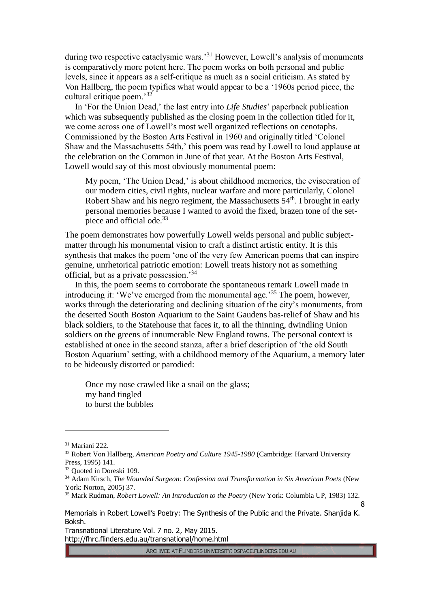during two respective cataclysmic wars.<sup>31</sup> However, Lowell's analysis of monuments is comparatively more potent here. The poem works on both personal and public levels, since it appears as a self-critique as much as a social criticism. As stated by Von Hallberg, the poem typifies what would appear to be a '1960s period piece, the cultural critique poem.' 32

In 'For the Union Dead,' the last entry into *Life Studies*' paperback publication which was subsequently published as the closing poem in the collection titled for it, we come across one of Lowell's most well organized reflections on cenotaphs. Commissioned by the Boston Arts Festival in 1960 and originally titled 'Colonel Shaw and the Massachusetts 54th,' this poem was read by Lowell to loud applause at the celebration on the Common in June of that year. At the Boston Arts Festival, Lowell would say of this most obviously monumental poem:

My poem, 'The Union Dead,' is about childhood memories, the evisceration of our modern cities, civil rights, nuclear warfare and more particularly, Colonel Robert Shaw and his negro regiment, the Massachusetts  $54<sup>th</sup>$ . I brought in early personal memories because I wanted to avoid the fixed, brazen tone of the setpiece and official ode.<sup>33</sup>

The poem demonstrates how powerfully Lowell welds personal and public subjectmatter through his monumental vision to craft a distinct artistic entity. It is this synthesis that makes the poem 'one of the very few American poems that can inspire genuine, unrhetorical patriotic emotion: Lowell treats history not as something official, but as a private possession.'<sup>34</sup>

In this, the poem seems to corroborate the spontaneous remark Lowell made in introducing it: 'We've emerged from the monumental age.'<sup>35</sup> The poem, however, works through the deteriorating and declining situation of the city's monuments, from the deserted South Boston Aquarium to the Saint Gaudens bas-relief of Shaw and his black soldiers, to the Statehouse that faces it, to all the thinning, dwindling Union soldiers on the greens of innumerable New England towns. The personal context is established at once in the second stanza, after a brief description of 'the old South Boston Aquarium' setting, with a childhood memory of the Aquarium, a memory later to be hideously distorted or parodied:

Once my nose crawled like a snail on the glass; my hand tingled to burst the bubbles

 $\overline{a}$ 

Transnational Literature Vol. 7 no. 2, May 2015. http://fhrc.flinders.edu.au/transnational/home.html

ARCHIVED AT FLINDERS UNIVERSITY: DSPACE.FLINDERS.EDU.AU

<sup>31</sup> Mariani 222.

<sup>32</sup> Robert Von Hallberg, *American Poetry and Culture 1945-1980* (Cambridge: Harvard University Press, 1995) 141.

<sup>33</sup> Quoted in Doreski 109.

<sup>34</sup> Adam Kirsch, *The Wounded Surgeon: Confession and Transformation in Six American Poets* (New York: Norton, 2005) 37.

<sup>35</sup> Mark Rudman, *Robert Lowell: An Introduction to the Poetry* (New York: Columbia UP, 1983) 132.

Memorials in Robert Lowell's Poetry: The Synthesis of the Public and the Private. Shanjida K. Boksh.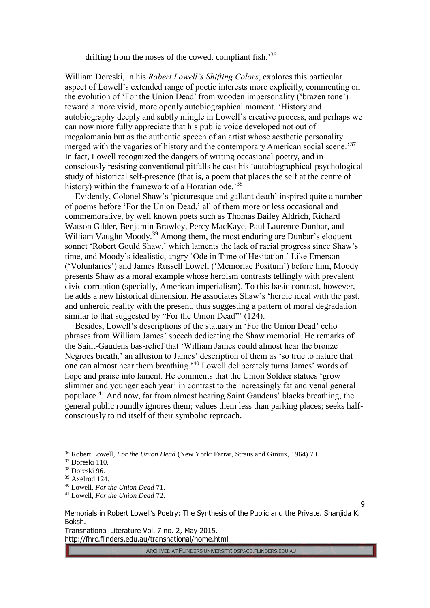drifting from the noses of the cowed, compliant fish.<sup>36</sup>

William Doreski, in his *Robert Lowell's Shifting Colors*, explores this particular aspect of Lowell's extended range of poetic interests more explicitly, commenting on the evolution of 'For the Union Dead' from wooden impersonality ('brazen tone') toward a more vivid, more openly autobiographical moment. 'History and autobiography deeply and subtly mingle in Lowell's creative process, and perhaps we can now more fully appreciate that his public voice developed not out of megalomania but as the authentic speech of an artist whose aesthetic personality merged with the vagaries of history and the contemporary American social scene.<sup>37</sup> In fact, Lowell recognized the dangers of writing occasional poetry, and in consciously resisting conventional pitfalls he cast his 'autobiographical-psychological study of historical self-presence (that is, a poem that places the self at the centre of history) within the framework of a Horatian ode.<sup>38</sup>

Evidently, Colonel Shaw's 'picturesque and gallant death' inspired quite a number of poems before 'For the Union Dead,' all of them more or less occasional and commemorative, by well known poets such as Thomas Bailey Aldrich, Richard Watson Gilder, Benjamin Brawley, Percy MacKaye, Paul Laurence Dunbar, and William Vaughn Moody.<sup>39</sup> Among them, the most enduring are Dunbar's eloquent sonnet 'Robert Gould Shaw,' which laments the lack of racial progress since Shaw's time, and Moody's idealistic, angry 'Ode in Time of Hesitation.' Like Emerson ('Voluntaries') and James Russell Lowell ('Memoriae Positum') before him, Moody presents Shaw as a moral example whose heroism contrasts tellingly with prevalent civic corruption (specially, American imperialism). To this basic contrast, however, he adds a new historical dimension. He associates Shaw's 'heroic ideal with the past, and unheroic reality with the present, thus suggesting a pattern of moral degradation similar to that suggested by "For the Union Dead"' (124).

Besides, Lowell's descriptions of the statuary in 'For the Union Dead' echo phrases from William James' speech dedicating the Shaw memorial. He remarks of the Saint-Gaudens bas-relief that 'William James could almost hear the bronze Negroes breath,' an allusion to James' description of them as 'so true to nature that one can almost hear them breathing.'<sup>40</sup> Lowell deliberately turns James' words of hope and praise into lament. He comments that the Union Soldier statues 'grow slimmer and younger each year' in contrast to the increasingly fat and venal general populace.<sup>41</sup> And now, far from almost hearing Saint Gaudens' blacks breathing, the general public roundly ignores them; values them less than parking places; seeks halfconsciously to rid itself of their symbolic reproach.

 $\overline{a}$ 

Transnational Literature Vol. 7 no. 2, May 2015. http://fhrc.flinders.edu.au/transnational/home.html

ARCHIVED AT FLINDERS UNIVERSITY: DSPACE.FLINDERS.EDU.AU

<sup>36</sup> Robert Lowell, *For the Union Dead* (New York: Farrar, Straus and Giroux, 1964) 70.

<sup>37</sup> Doreski 110.

<sup>38</sup> Doreski 96.

<sup>39</sup> Axelrod 124.

<sup>40</sup> Lowell, *For the Union Dead* 71.

<sup>41</sup> Lowell, *For the Union Dead* 72.

Memorials in Robert Lowell's Poetry: The Synthesis of the Public and the Private. Shanjida K. Boksh.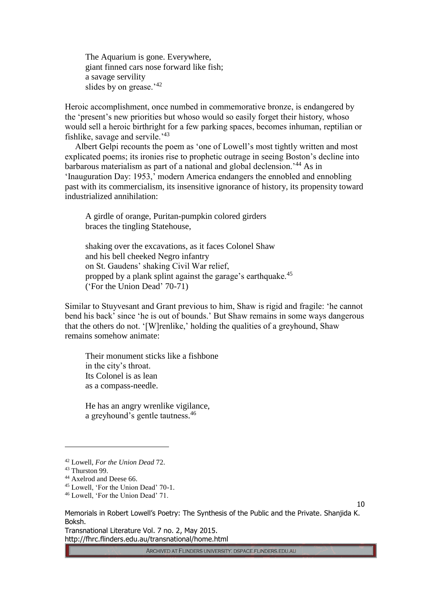The Aquarium is gone. Everywhere, giant finned cars nose forward like fish; a savage servility slides by on grease.<sup>'42</sup>

Heroic accomplishment, once numbed in commemorative bronze, is endangered by the 'present's new priorities but whoso would so easily forget their history, whoso would sell a heroic birthright for a few parking spaces, becomes inhuman, reptilian or fishlike, savage and servile.<sup>'43</sup>

Albert Gelpi recounts the poem as 'one of Lowell's most tightly written and most explicated poems; its ironies rise to prophetic outrage in seeing Boston's decline into barbarous materialism as part of a national and global declension.'<sup>44</sup> As in 'Inauguration Day: 1953,' modern America endangers the ennobled and ennobling past with its commercialism, its insensitive ignorance of history, its propensity toward industrialized annihilation:

A girdle of orange, Puritan-pumpkin colored girders braces the tingling Statehouse,

shaking over the excavations, as it faces Colonel Shaw and his bell cheeked Negro infantry on St. Gaudens' shaking Civil War relief, propped by a plank splint against the garage's earthquake.<sup>45</sup> ('For the Union Dead' 70-71)

Similar to Stuyvesant and Grant previous to him, Shaw is rigid and fragile: 'he cannot bend his back' since 'he is out of bounds.' But Shaw remains in some ways dangerous that the others do not. '[W]renlike,' holding the qualities of a greyhound, Shaw remains somehow animate:

Their monument sticks like a fishbone in the city's throat. Its Colonel is as lean as a compass-needle.

He has an angry wrenlike vigilance, a greyhound's gentle tautness. 46

 $\overline{a}$ 

Transnational Literature Vol. 7 no. 2, May 2015. http://fhrc.flinders.edu.au/transnational/home.html

ARCHIVED AT FLINDERS UNIVERSITY: DSPACE.FLINDERS.EDU.AU

<sup>42</sup> Lowell, *For the Union Dead* 72.

<sup>&</sup>lt;sup>43</sup> Thurston 99.

<sup>&</sup>lt;sup>44</sup> Axelrod and Deese 66.

<sup>45</sup> Lowell, 'For the Union Dead' 70-1.

<sup>46</sup> Lowell, 'For the Union Dead' 71.

Memorials in Robert Lowell's Poetry: The Synthesis of the Public and the Private. Shanjida K. Boksh.